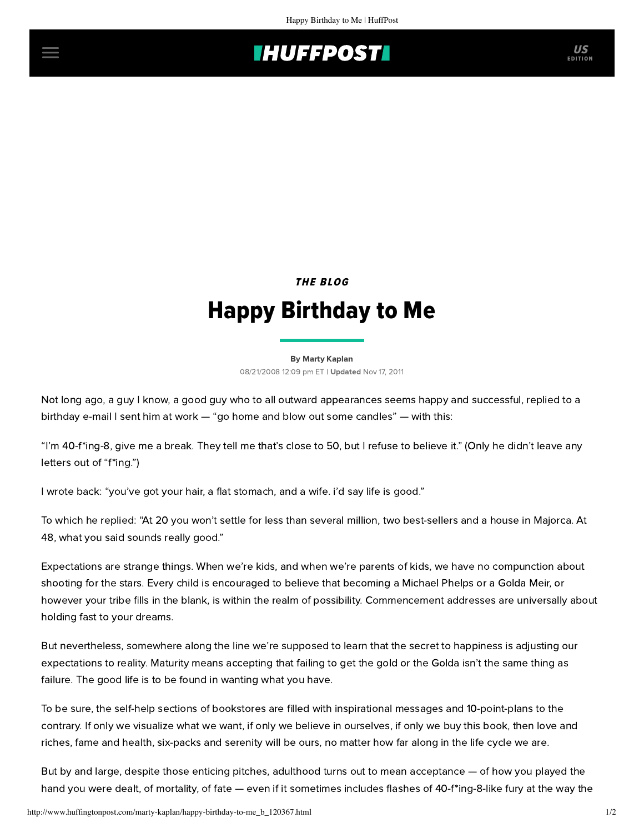

THE BLOG

## Happy Birthday to Me

[By Marty Kaplan](http://www.huffingtonpost.com/author/marty-kaplan) 08/21/2008 12:09 pm ET | Updated Nov 17, 2011

Not long ago, a guy I know, a good guy who to all outward appearances seems happy and successful, replied to a birthday e-mail I sent him at work — "go home and blow out some candles" — with this:

"I'm 40-f\*ing-8, give me a break. They tell me that's close to 50, but I refuse to believe it." (Only he didn't leave any letters out of "f\*ing.")

I wrote back: "you've got your hair, a flat stomach, and a wife. i'd say life is good."

To which he replied: "At 20 you won't settle for less than several million, two best-sellers and a house in Majorca. At 48, what you said sounds really good."

Expectations are strange things. When we're kids, and when we're parents of kids, we have no compunction about shooting for the stars. Every child is encouraged to believe that becoming a Michael Phelps or a Golda Meir, or however your tribe fills in the blank, is within the realm of possibility. Commencement addresses are universally about holding fast to your dreams.

But nevertheless, somewhere along the line we're supposed to learn that the secret to happiness is adjusting our expectations to reality. Maturity means accepting that failing to get the gold or the Golda isn't the same thing as failure. The good life is to be found in wanting what you have.

To be sure, the self-help sections of bookstores are filled with inspirational messages and 10-point-plans to the contrary. If only we visualize what we want, if only we believe in ourselves, if only we buy this book, then love and riches, fame and health, six-packs and serenity will be ours, no matter how far along in the life cycle we are.

But by and large, despite those enticing pitches, adulthood turns out to mean acceptance — of how you played the hand you were dealt, of mortality, of fate — even if it sometimes includes flashes of 40-f\*ing-8-like fury at the way the